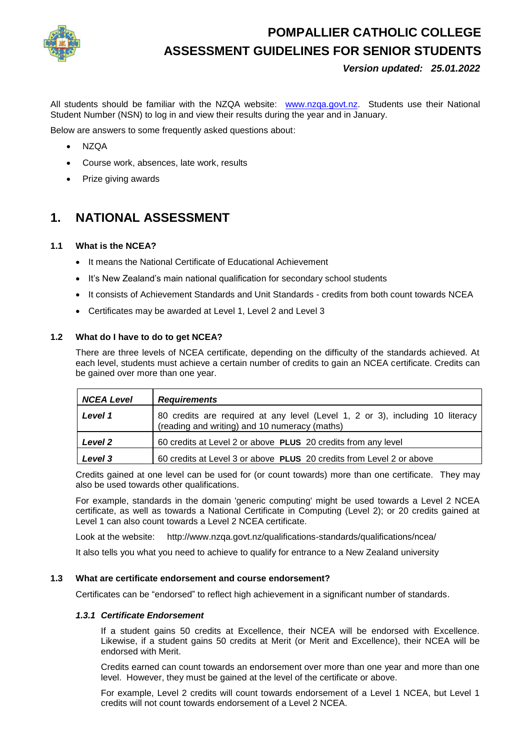

# **POMPALLIER CATHOLIC COLLEGE ASSESSMENT GUIDELINES FOR SENIOR STUDENTS**

*Version updated: 25.01.2022*

All students should be familiar with the NZQA website: [www.nzqa.govt.nz.](http://www.nzqa.govt.nz/) Students use their National Student Number (NSN) to log in and view their results during the year and in January.

Below are answers to some frequently asked questions about:

- NZQA
- Course work, absences, late work, results
- Prize giving awards

# **1. NATIONAL ASSESSMENT**

# **1.1 What is the NCEA?**

- It means the National Certificate of Educational Achievement
- It's New Zealand's main national qualification for secondary school students
- It consists of Achievement Standards and Unit Standards credits from both count towards NCEA
- Certificates may be awarded at Level 1, Level 2 and Level 3

### **1.2 What do I have to do to get NCEA?**

There are three levels of NCEA certificate, depending on the difficulty of the standards achieved. At each level, students must achieve a certain number of credits to gain an NCEA certificate. Credits can be gained over more than one year.

| <b>NCEA Level</b> | <b>Requirements</b>                                                                                                            |
|-------------------|--------------------------------------------------------------------------------------------------------------------------------|
| Level 1           | 80 credits are required at any level (Level 1, 2 or 3), including 10 literacy<br>(reading and writing) and 10 numeracy (maths) |
| Level 2           | 60 credits at Level 2 or above PLUS 20 credits from any level                                                                  |
| Level 3           | 60 credits at Level 3 or above PLUS 20 credits from Level 2 or above                                                           |

Credits gained at one level can be used for (or count towards) more than one certificate. They may also be used towards other qualifications.

For example, standards in the domain 'generic computing' might be used towards a Level 2 NCEA certificate, as well as towards a National Certificate in Computing (Level 2); or 20 credits gained at Level 1 can also count towards a Level 2 NCEA certificate.

Look at the website: http://www.nzqa.govt.nz/qualifications-standards/qualifications/ncea/

It also tells you what you need to achieve to qualify for entrance to a New Zealand university

#### **1.3 What are certificate endorsement and course endorsement?**

Certificates can be "endorsed" to reflect high achievement in a significant number of standards.

# *1.3.1 Certificate Endorsement*

If a student gains 50 credits at Excellence, their NCEA will be endorsed with Excellence. Likewise, if a student gains 50 credits at Merit (or Merit and Excellence), their NCEA will be endorsed with Merit.

Credits earned can count towards an endorsement over more than one year and more than one level. However, they must be gained at the level of the certificate or above.

For example, Level 2 credits will count towards endorsement of a Level 1 NCEA, but Level 1 credits will not count towards endorsement of a Level 2 NCEA.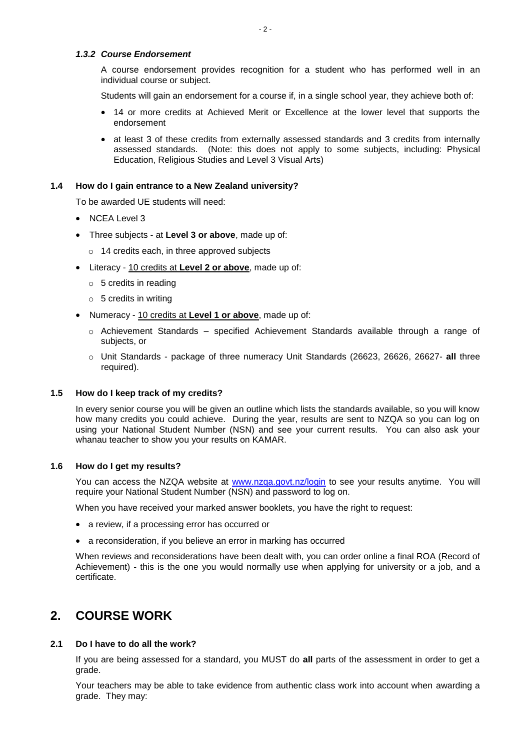# *1.3.2 Course Endorsement*

A course endorsement provides recognition for a student who has performed well in an individual course or subject.

Students will gain an endorsement for a course if, in a single school year, they achieve both of:

- 14 or more credits at Achieved Merit or Excellence at the lower level that supports the endorsement
- at least 3 of these credits from externally assessed standards and 3 credits from internally assessed standards. (Note: this does not apply to some subjects, including: Physical Education, Religious Studies and Level 3 Visual Arts)

#### **1.4 How do I gain entrance to a New Zealand university?**

To be awarded UE students will need:

- NCEA Level 3
- Three subjects at **Level 3 or above**, made up of:
	- o 14 credits each, in three approved subjects
- Literacy 10 credits at **Level 2 or above**, made up of:
	- $\circ$  5 credits in reading
	- $\circ$  5 credits in writing
- Numeracy 10 credits at **Level 1 or above**, made up of:
	- $\circ$  Achievement Standards specified Achievement Standards available through a range of subjects, or
	- o Unit Standards package of three numeracy Unit Standards (26623, 26626, 26627- **all** three required).

#### **1.5 How do I keep track of my credits?**

In every senior course you will be given an outline which lists the standards available, so you will know how many credits you could achieve. During the year, results are sent to NZQA so you can log on using your National Student Number (NSN) and see your current results. You can also ask your whanau teacher to show you your results on KAMAR.

#### **1.6 How do I get my results?**

You can access the NZQA website at [www.nzqa.govt.nz/login](http://www.nzqa.govt.nz/login) to see your results anytime. You will require your National Student Number (NSN) and password to log on.

When you have received your marked answer booklets, you have the right to request:

- a review, if a processing error has occurred or
- a reconsideration, if you believe an error in marking has occurred

When reviews and reconsiderations have been dealt with, you can order online a final ROA (Record of Achievement) - this is the one you would normally use when applying for university or a job, and a certificate.

# **2. COURSE WORK**

# **2.1 Do I have to do all the work?**

If you are being assessed for a standard, you MUST do **all** parts of the assessment in order to get a grade.

Your teachers may be able to take evidence from authentic class work into account when awarding a grade. They may: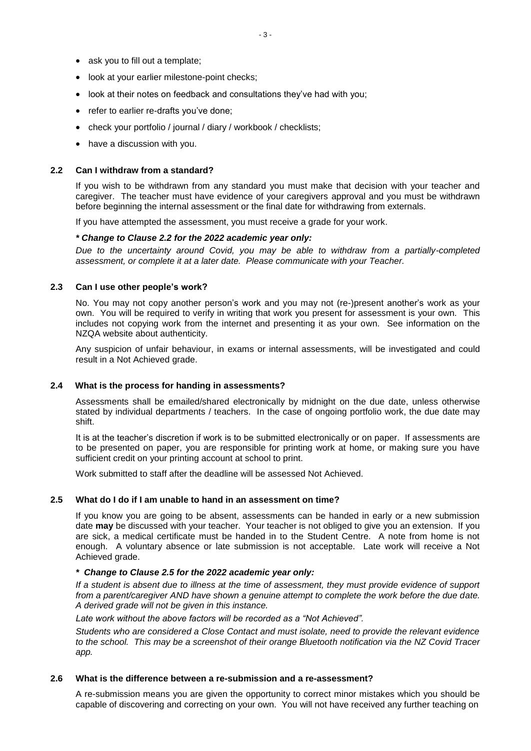- ask you to fill out a template;
- look at your earlier milestone-point checks;
- look at their notes on feedback and consultations they've had with you;
- refer to earlier re-drafts you've done;
- check your portfolio / journal / diary / workbook / checklists;
- have a discussion with you.

#### **2.2 Can I withdraw from a standard?**

If you wish to be withdrawn from any standard you must make that decision with your teacher and caregiver. The teacher must have evidence of your caregivers approval and you must be withdrawn before beginning the internal assessment or the final date for withdrawing from externals.

If you have attempted the assessment, you must receive a grade for your work.

#### *\* Change to Clause 2.2 for the 2022 academic year only:*

*Due to the uncertainty around Covid, you may be able to withdraw from a partially-completed assessment, or complete it at a later date. Please communicate with your Teacher.*

#### **2.3 Can I use other people's work?**

No. You may not copy another person's work and you may not (re-)present another's work as your own. You will be required to verify in writing that work you present for assessment is your own. This includes not copying work from the internet and presenting it as your own. See information on the NZQA website about authenticity.

Any suspicion of unfair behaviour, in exams or internal assessments, will be investigated and could result in a Not Achieved grade.

#### **2.4 What is the process for handing in assessments?**

Assessments shall be emailed/shared electronically by midnight on the due date, unless otherwise stated by individual departments / teachers. In the case of ongoing portfolio work, the due date may shift.

It is at the teacher's discretion if work is to be submitted electronically or on paper. If assessments are to be presented on paper, you are responsible for printing work at home, or making sure you have sufficient credit on your printing account at school to print.

Work submitted to staff after the deadline will be assessed Not Achieved.

#### **2.5 What do I do if I am unable to hand in an assessment on time?**

If you know you are going to be absent, assessments can be handed in early or a new submission date **may** be discussed with your teacher. Your teacher is not obliged to give you an extension. If you are sick, a medical certificate must be handed in to the Student Centre. A note from home is not enough. A voluntary absence or late submission is not acceptable. Late work will receive a Not Achieved grade.

#### *\* Change to Clause 2.5 for the 2022 academic year only:*

*If a student is absent due to illness at the time of assessment, they must provide evidence of support from a parent/caregiver AND have shown a genuine attempt to complete the work before the due date. A derived grade will not be given in this instance.*

*Late work without the above factors will be recorded as a "Not Achieved".*

*Students who are considered a Close Contact and must isolate, need to provide the relevant evidence to the school. This may be a screenshot of their orange Bluetooth notification via the NZ Covid Tracer app.*

#### **2.6 What is the difference between a re-submission and a re-assessment?**

A re-submission means you are given the opportunity to correct minor mistakes which you should be capable of discovering and correcting on your own. You will not have received any further teaching on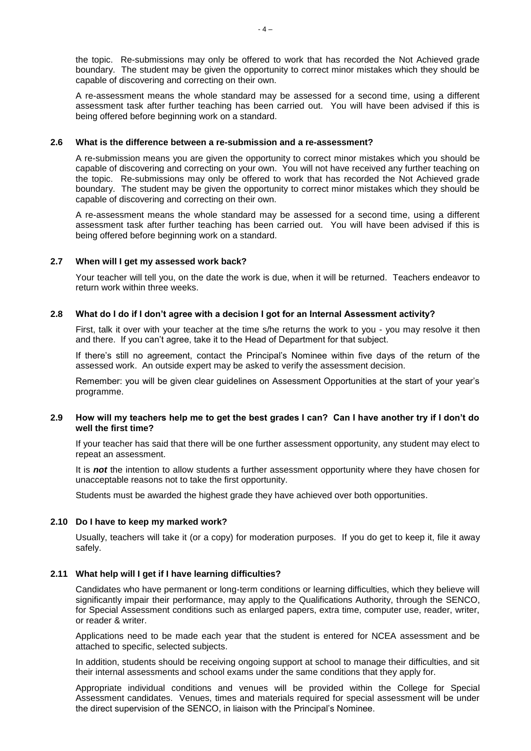the topic. Re-submissions may only be offered to work that has recorded the Not Achieved grade boundary. The student may be given the opportunity to correct minor mistakes which they should be capable of discovering and correcting on their own.

A re-assessment means the whole standard may be assessed for a second time, using a different assessment task after further teaching has been carried out. You will have been advised if this is being offered before beginning work on a standard.

#### **2.6 What is the difference between a re-submission and a re-assessment?**

A re-submission means you are given the opportunity to correct minor mistakes which you should be capable of discovering and correcting on your own. You will not have received any further teaching on the topic. Re-submissions may only be offered to work that has recorded the Not Achieved grade boundary. The student may be given the opportunity to correct minor mistakes which they should be capable of discovering and correcting on their own.

A re-assessment means the whole standard may be assessed for a second time, using a different assessment task after further teaching has been carried out. You will have been advised if this is being offered before beginning work on a standard.

#### **2.7 When will I get my assessed work back?**

Your teacher will tell you, on the date the work is due, when it will be returned. Teachers endeavor to return work within three weeks.

#### **2.8 What do I do if I don't agree with a decision I got for an Internal Assessment activity?**

First, talk it over with your teacher at the time s/he returns the work to you - you may resolve it then and there. If you can't agree, take it to the Head of Department for that subject.

If there's still no agreement, contact the Principal's Nominee within five days of the return of the assessed work. An outside expert may be asked to verify the assessment decision.

Remember: you will be given clear guidelines on Assessment Opportunities at the start of your year's programme.

#### **2.9 How will my teachers help me to get the best grades I can? Can I have another try if I don't do well the first time?**

If your teacher has said that there will be one further assessment opportunity, any student may elect to repeat an assessment.

It is *not* the intention to allow students a further assessment opportunity where they have chosen for unacceptable reasons not to take the first opportunity.

Students must be awarded the highest grade they have achieved over both opportunities.

#### **2.10 Do I have to keep my marked work?**

Usually, teachers will take it (or a copy) for moderation purposes. If you do get to keep it, file it away safely.

#### **2.11 What help will I get if I have learning difficulties?**

Candidates who have permanent or long-term conditions or learning difficulties, which they believe will significantly impair their performance, may apply to the Qualifications Authority, through the SENCO, for Special Assessment conditions such as enlarged papers, extra time, computer use, reader, writer, or reader & writer.

Applications need to be made each year that the student is entered for NCEA assessment and be attached to specific, selected subjects.

In addition, students should be receiving ongoing support at school to manage their difficulties, and sit their internal assessments and school exams under the same conditions that they apply for.

Appropriate individual conditions and venues will be provided within the College for Special Assessment candidates. Venues, times and materials required for special assessment will be under the direct supervision of the SENCO, in liaison with the Principal's Nominee.